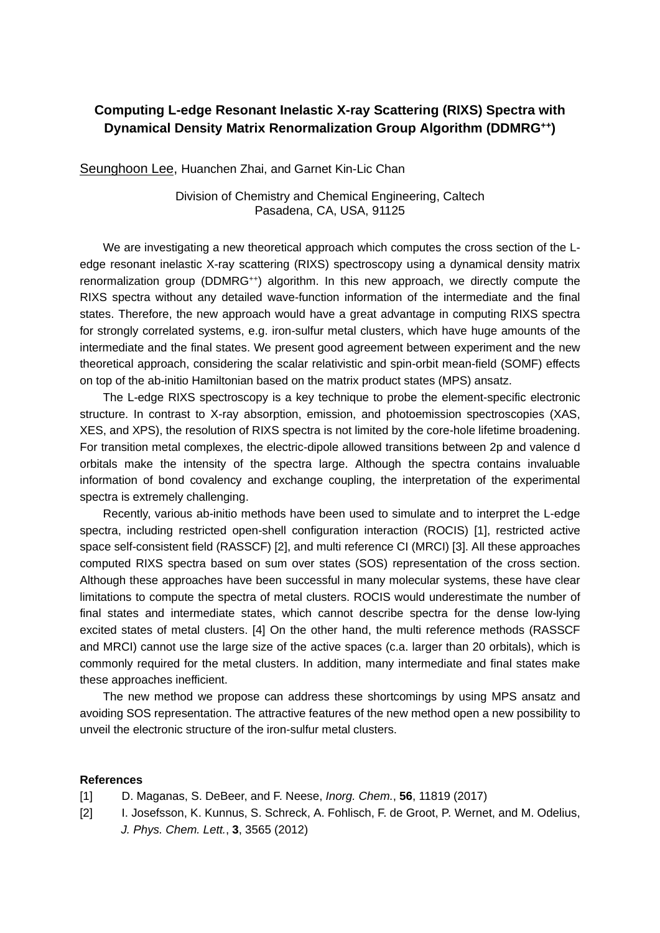## **Computing L-edge Resonant Inelastic X-ray Scattering (RIXS) Spectra with Dynamical Density Matrix Renormalization Group Algorithm (DDMRG++)**

Seunghoon Lee, Huanchen Zhai, and Garnet Kin-Lic Chan

Division of Chemistry and Chemical Engineering, Caltech Pasadena, CA, USA, 91125

We are investigating a new theoretical approach which computes the cross section of the Ledge resonant inelastic X-ray scattering (RIXS) spectroscopy using a dynamical density matrix renormalization group (DDMRG<sup>++</sup>) algorithm. In this new approach, we directly compute the RIXS spectra without any detailed wave-function information of the intermediate and the final states. Therefore, the new approach would have a great advantage in computing RIXS spectra for strongly correlated systems, e.g. iron-sulfur metal clusters, which have huge amounts of the intermediate and the final states. We present good agreement between experiment and the new theoretical approach, considering the scalar relativistic and spin-orbit mean-field (SOMF) effects on top of the ab-initio Hamiltonian based on the matrix product states (MPS) ansatz.

The L-edge RIXS spectroscopy is a key technique to probe the element-specific electronic structure. In contrast to X-ray absorption, emission, and photoemission spectroscopies (XAS, XES, and XPS), the resolution of RIXS spectra is not limited by the core-hole lifetime broadening. For transition metal complexes, the electric-dipole allowed transitions between 2p and valence d orbitals make the intensity of the spectra large. Although the spectra contains invaluable information of bond covalency and exchange coupling, the interpretation of the experimental spectra is extremely challenging.

Recently, various ab-initio methods have been used to simulate and to interpret the L-edge spectra, including restricted open-shell configuration interaction (ROCIS) [1], restricted active space self-consistent field (RASSCF) [2], and multi reference CI (MRCI) [3]. All these approaches computed RIXS spectra based on sum over states (SOS) representation of the cross section. Although these approaches have been successful in many molecular systems, these have clear limitations to compute the spectra of metal clusters. ROCIS would underestimate the number of final states and intermediate states, which cannot describe spectra for the dense low-lying excited states of metal clusters. [4] On the other hand, the multi reference methods (RASSCF and MRCI) cannot use the large size of the active spaces (c.a. larger than 20 orbitals), which is commonly required for the metal clusters. In addition, many intermediate and final states make these approaches inefficient.

The new method we propose can address these shortcomings by using MPS ansatz and avoiding SOS representation. The attractive features of the new method open a new possibility to unveil the electronic structure of the iron-sulfur metal clusters.

## **References**

- [1] D. Maganas, S. DeBeer, and F. Neese, *Inorg. Chem.*, **56**, 11819 (2017)
- [2] I. Josefsson, K. Kunnus, S. Schreck, A. Fohlisch, F. de Groot, P. Wernet, and M. Odelius, *J. Phys. Chem. Lett.*, **3**, 3565 (2012)